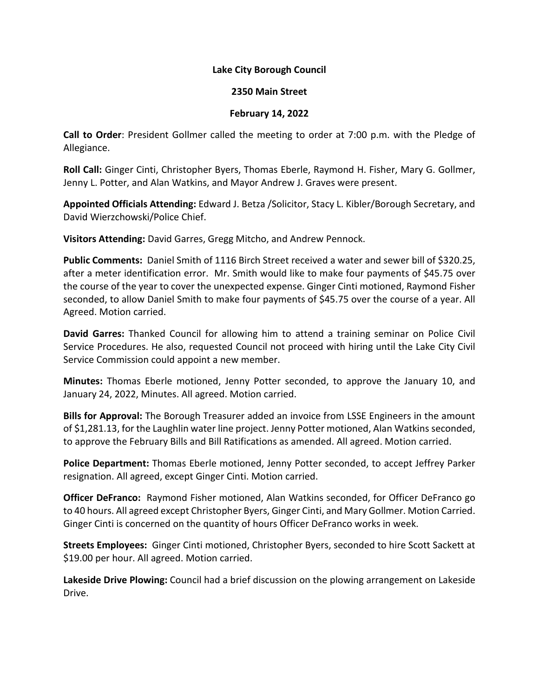## **Lake City Borough Council**

## **2350 Main Street**

## **February 14, 2022**

**Call to Order**: President Gollmer called the meeting to order at 7:00 p.m. with the Pledge of Allegiance.

**Roll Call:** Ginger Cinti, Christopher Byers, Thomas Eberle, Raymond H. Fisher, Mary G. Gollmer, Jenny L. Potter, and Alan Watkins, and Mayor Andrew J. Graves were present.

**Appointed Officials Attending:** Edward J. Betza /Solicitor, Stacy L. Kibler/Borough Secretary, and David Wierzchowski/Police Chief.

**Visitors Attending:** David Garres, Gregg Mitcho, and Andrew Pennock.

Public Comments: Daniel Smith of 1116 Birch Street received a water and sewer bill of \$320.25, after a meter identification error. Mr. Smith would like to make four payments of \$45.75 over the course of the year to cover the unexpected expense. Ginger Cinti motioned, Raymond Fisher seconded, to allow Daniel Smith to make four payments of \$45.75 over the course of a year. All Agreed. Motion carried.

**David Garres:** Thanked Council for allowing him to attend a training seminar on Police Civil Service Procedures. He also, requested Council not proceed with hiring until the Lake City Civil Service Commission could appoint a new member.

**Minutes:** Thomas Eberle motioned, Jenny Potter seconded, to approve the January 10, and January 24, 2022, Minutes. All agreed. Motion carried.

**Bills for Approval:** The Borough Treasurer added an invoice from LSSE Engineers in the amount of \$1,281.13, for the Laughlin water line project. Jenny Potter motioned, Alan Watkins seconded, to approve the February Bills and Bill Ratifications as amended. All agreed. Motion carried.

**Police Department:** Thomas Eberle motioned, Jenny Potter seconded, to accept Jeffrey Parker resignation. All agreed, except Ginger Cinti. Motion carried.

**Officer DeFranco:** Raymond Fisher motioned, Alan Watkins seconded, for Officer DeFranco go to 40 hours. All agreed except Christopher Byers, Ginger Cinti, and Mary Gollmer. Motion Carried. Ginger Cinti is concerned on the quantity of hours Officer DeFranco works in week.

**Streets Employees:** Ginger Cinti motioned, Christopher Byers, seconded to hire Scott Sackett at \$19.00 per hour. All agreed. Motion carried.

**Lakeside Drive Plowing:** Council had a brief discussion on the plowing arrangement on Lakeside Drive.